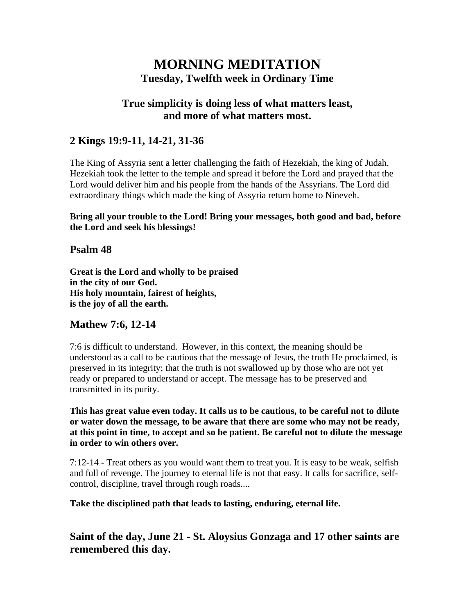# **MORNING MEDITATION Tuesday, Twelfth week in Ordinary Time**

## **True simplicity is doing less of what matters least, and more of what matters most.**

# **2 Kings 19:9-11, 14-21, 31-36**

The King of Assyria sent a letter challenging the faith of Hezekiah, the king of Judah. Hezekiah took the letter to the temple and spread it before the Lord and prayed that the Lord would deliver him and his people from the hands of the Assyrians. The Lord did extraordinary things which made the king of Assyria return home to Nineveh.

**Bring all your trouble to the Lord! Bring your messages, both good and bad, before the Lord and seek his blessings!**

#### **Psalm 48**

**Great is the Lord and wholly to be praised in the city of our God. His holy mountain, fairest of heights, is the joy of all the earth.**

## **Mathew 7:6, 12-14**

7:6 is difficult to understand. However, in this context, the meaning should be understood as a call to be cautious that the message of Jesus, the truth He proclaimed, is preserved in its integrity; that the truth is not swallowed up by those who are not yet ready or prepared to understand or accept. The message has to be preserved and transmitted in its purity.

**This has great value even today. It calls us to be cautious, to be careful not to dilute or water down the message, to be aware that there are some who may not be ready, at this point in time, to accept and so be patient. Be careful not to dilute the message in order to win others over.**

7:12-14 - Treat others as you would want them to treat you. It is easy to be weak, selfish and full of revenge. The journey to eternal life is not that easy. It calls for sacrifice, selfcontrol, discipline, travel through rough roads....

**Take the disciplined path that leads to lasting, enduring, eternal life.**

**Saint of the day, June 21 - St. Aloysius Gonzaga and 17 other saints are remembered this day.**